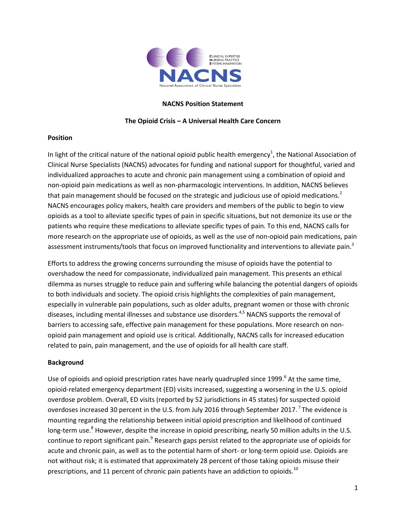

# **NACNS Position Statement**

# **The Opioid Crisis – A Universal Health Care Concern**

## **Position**

In light of the critical nature of the national opioid public health emergency<sup>1</sup>, the National Association of Clinical Nurse Specialists (NACNS) advocates for funding and national support for thoughtful, varied and individualized approaches to acute and chronic pain management using a combination of opioid and non-opioid pain medications as well as non-pharmacologic interventions. In addition, NACNS believes that pain management should be focused on the strategic and judicious use of opioid medications.<sup>2</sup> NACNS encourages policy makers, health care providers and members of the public to begin to view opioids as a tool to alleviate specific types of pain in specific situations, but not demonize its use or the patients who require these medications to alleviate specific types of pain. To this end, NACNS calls for more research on the appropriate use of opioids, as well as the use of non-opioid pain medications, pain assessment instruments/tools that focus on improved functionality and interventions to alleviate pain.<sup>3</sup>

Efforts to address the growing concerns surrounding the misuse of opioids have the potential to overshadow the need for compassionate, individualized pain management. This presents an ethical dilemma as nurses struggle to reduce pain and suffering while balancing the potential dangers of opioids to both individuals and society. The opioid crisis highlights the complexities of pain management, especially in vulnerable pain populations, such as older adults, pregnant women or those with chronic diseases, including mental illnesses and substance use disorders.<sup>4,5</sup> NACNS supports the removal of barriers to accessing safe, effective pain management for these populations. More research on nonopioid pain management and opioid use is critical. Additionally, NACNS calls for increased education related to pain, pain management, and the use of opioids for all health care staff.

## **Background**

Use of opioids and opioid prescription rates have nearly quadrupled since  $1999<sup>6</sup>$  At the same time, opioid-related emergency department (ED) visits increased, suggesting a worsening in the U.S. opioid overdose problem. Overall, ED visits (reported by 52 jurisdictions in 45 states) for suspected opioid overdoses increased 30 percent in the U.S. from July 2016 through September 2017.<sup>7</sup> The evidence is mounting regarding the relationship between initial opioid prescription and likelihood of continued long-term use.<sup>8</sup> However, despite the increase in opioid prescribing, nearly 50 million adults in the U.S. continue to report significant pain.<sup>9</sup> Research gaps persist related to the appropriate use of opioids for acute and chronic pain, as well as to the potential harm of short- or long-term opioid use. Opioids are not without risk; it is estimated that approximately 28 percent of those taking opioids misuse their prescriptions, and 11 percent of chronic pain patients have an addiction to opioids.<sup>10</sup>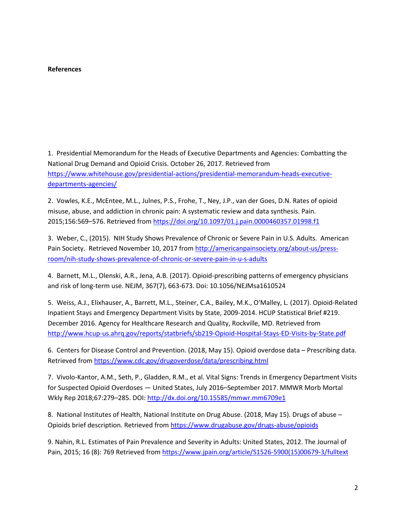### **References**

1. Presidential Memorandum for the Heads of Executive Departments and Agencies: Combatting the National Drug Demand and Opioid Crisis. October 26, 2017. Retrieved from [https://www.whitehouse.gov/presidential-actions/presidential-memorandum-heads-executive](https://www.whitehouse.gov/presidential-actions/presidential-memorandum-heads-executive-departments-agencies/)[departments-agencies/](https://www.whitehouse.gov/presidential-actions/presidential-memorandum-heads-executive-departments-agencies/)

2. Vowles, K.E., McEntee, M.L., Julnes, P.S., Frohe, T., Ney, J.P., van der Goes, D.N. Rates of opioid misuse, abuse, and addiction in chronic pain: A systematic review and data synthesis. Pain. 2015;156:569–576. Retrieved from<https://doi.org/10.1097/01.j.pain.0000460357.01998.f1>

3. Weber, C., (2015). NIH Study Shows Prevalence of Chronic or Severe Pain in U.S. Adults. American Pain Society. Retrieved November 10, 2017 from [http://americanpainsociety.org/about-us/press](http://americanpainsociety.org/about-us/press-room/nih-study-shows-prevalence-of-chronic-or-severe-pain-in-u-s-adults)[room/nih-study-shows-prevalence-of-chronic-or-severe-pain-in-u-s-adults](http://americanpainsociety.org/about-us/press-room/nih-study-shows-prevalence-of-chronic-or-severe-pain-in-u-s-adults)

4. Barnett, M.L., Olenski, A.R., Jena, A.B. (2017). Opioid-prescribing patterns of emergency physicians and risk of long-term use. NEJM, 367(7), 663-673. Doi: 10.1056/NEJMsa1610524

5. Weiss, A.J., Elixhauser, A., Barrett, M.L., Steiner, C.A., Bailey, M.K., O'Malley, L. (2017). Opioid-Related Inpatient Stays and Emergency Department Visits by State, 2009-2014. HCUP Statistical Brief #219. December 2016. Agency for Healthcare Research and Quality, Rockville, MD. Retrieved from <http://www.hcup-us.ahrq.gov/reports/statbriefs/sb219-Opioid-Hospital-Stays-ED-Visits-by-State.pdf>

6. Centers for Disease Control and Prevention. (2018, May 15). Opioid overdose data – Prescribing data. Retrieved from<https://www.cdc.gov/drugoverdose/data/prescribing.html>

7. Vivolo-Kantor, A.M., Seth, P., Gladden, R.M., et al. Vital Signs: Trends in Emergency Department Visits for Suspected Opioid Overdoses — United States, July 2016–September 2017. MMWR Morb Mortal Wkly Rep 2018;67:279–285. DOI:<http://dx.doi.org/10.15585/mmwr.mm6709e1>

8. National Institutes of Health, National Institute on Drug Abuse. (2018, May 15). Drugs of abuse – Opioids brief description. Retrieved from<https://www.drugabuse.gov/drugs-abuse/opioids>

9. Nahin, R.L. Estimates of Pain Prevalence and Severity in Adults: United States, 2012. The Journal of Pain, 2015; 16 (8): 769 Retrieved fro[m https://www.jpain.org/article/S1526-5900\(15\)00679-3/fulltext](https://www.jpain.org/article/S1526-5900(15)00679-3/fulltext)